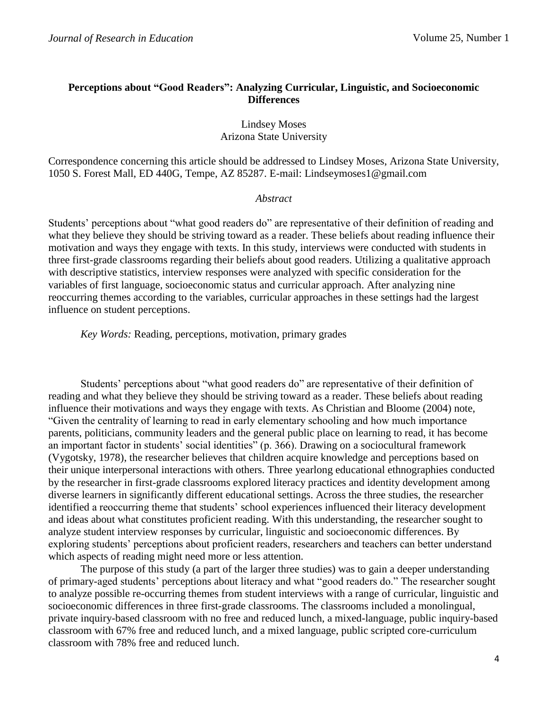## **Perceptions about "Good Readers": Analyzing Curricular, Linguistic, and Socioeconomic Differences**

Lindsey Moses Arizona State University

Correspondence concerning this article should be addressed to Lindsey Moses, Arizona State University, 1050 S. Forest Mall, ED 440G, Tempe, AZ 85287. E-mail: Lindseymoses1@gmail.com

### *Abstract*

Students' perceptions about "what good readers do" are representative of their definition of reading and what they believe they should be striving toward as a reader. These beliefs about reading influence their motivation and ways they engage with texts. In this study, interviews were conducted with students in three first-grade classrooms regarding their beliefs about good readers. Utilizing a qualitative approach with descriptive statistics, interview responses were analyzed with specific consideration for the variables of first language, socioeconomic status and curricular approach. After analyzing nine reoccurring themes according to the variables, curricular approaches in these settings had the largest influence on student perceptions.

*Key Words:* Reading, perceptions, motivation, primary grades

Students' perceptions about "what good readers do" are representative of their definition of reading and what they believe they should be striving toward as a reader. These beliefs about reading influence their motivations and ways they engage with texts. As Christian and Bloome (2004) note, "Given the centrality of learning to read in early elementary schooling and how much importance parents, politicians, community leaders and the general public place on learning to read, it has become an important factor in students' social identities" (p. 366). Drawing on a sociocultural framework (Vygotsky, 1978), the researcher believes that children acquire knowledge and perceptions based on their unique interpersonal interactions with others. Three yearlong educational ethnographies conducted by the researcher in first-grade classrooms explored literacy practices and identity development among diverse learners in significantly different educational settings. Across the three studies, the researcher identified a reoccurring theme that students' school experiences influenced their literacy development and ideas about what constitutes proficient reading. With this understanding, the researcher sought to analyze student interview responses by curricular, linguistic and socioeconomic differences. By exploring students' perceptions about proficient readers, researchers and teachers can better understand which aspects of reading might need more or less attention.

The purpose of this study (a part of the larger three studies) was to gain a deeper understanding of primary-aged students' perceptions about literacy and what "good readers do." The researcher sought to analyze possible re-occurring themes from student interviews with a range of curricular, linguistic and socioeconomic differences in three first-grade classrooms. The classrooms included a monolingual, private inquiry-based classroom with no free and reduced lunch, a mixed-language, public inquiry-based classroom with 67% free and reduced lunch, and a mixed language, public scripted core-curriculum classroom with 78% free and reduced lunch.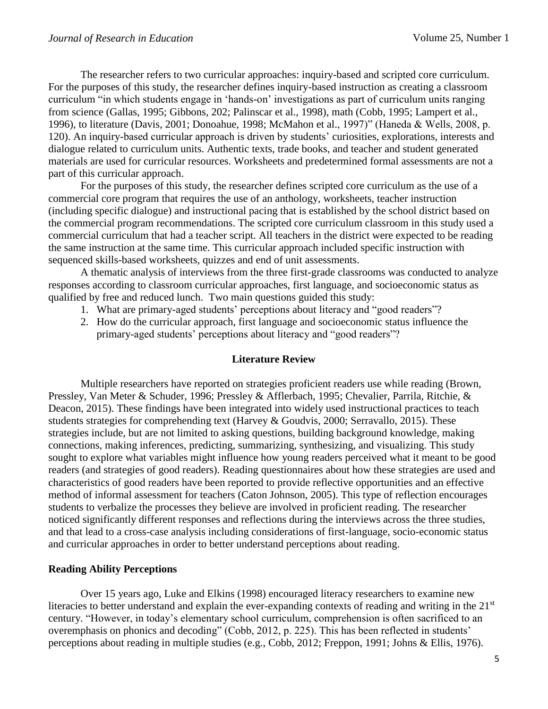The researcher refers to two curricular approaches: inquiry-based and scripted core curriculum. For the purposes of this study, the researcher defines inquiry-based instruction as creating a classroom curriculum "in which students engage in 'hands-on' investigations as part of curriculum units ranging from science (Gallas, 1995; Gibbons, 202; Palinscar et al., 1998), math (Cobb, 1995; Lampert et al., 1996), to literature (Davis, 2001; Donoahue, 1998; McMahon et al., 1997)" (Haneda & Wells, 2008, p. 120). An inquiry-based curricular approach is driven by students' curiosities, explorations, interests and dialogue related to curriculum units. Authentic texts, trade books, and teacher and student generated materials are used for curricular resources. Worksheets and predetermined formal assessments are not a part of this curricular approach.

For the purposes of this study, the researcher defines scripted core curriculum as the use of a commercial core program that requires the use of an anthology, worksheets, teacher instruction (including specific dialogue) and instructional pacing that is established by the school district based on the commercial program recommendations. The scripted core curriculum classroom in this study used a commercial curriculum that had a teacher script. All teachers in the district were expected to be reading the same instruction at the same time. This curricular approach included specific instruction with sequenced skills-based worksheets, quizzes and end of unit assessments.

A thematic analysis of interviews from the three first-grade classrooms was conducted to analyze responses according to classroom curricular approaches, first language, and socioeconomic status as qualified by free and reduced lunch. Two main questions guided this study:

- 1. What are primary-aged students' perceptions about literacy and "good readers"?
- 2. How do the curricular approach, first language and socioeconomic status influence the primary-aged students' perceptions about literacy and "good readers"?

### **Literature Review**

Multiple researchers have reported on strategies proficient readers use while reading (Brown, Pressley, Van Meter & Schuder, 1996; Pressley & Afflerbach, 1995; Chevalier, Parrila, Ritchie, & Deacon, 2015). These findings have been integrated into widely used instructional practices to teach students strategies for comprehending text (Harvey & Goudvis, 2000; Serravallo, 2015). These strategies include, but are not limited to asking questions, building background knowledge, making connections, making inferences, predicting, summarizing, synthesizing, and visualizing. This study sought to explore what variables might influence how young readers perceived what it meant to be good readers (and strategies of good readers). Reading questionnaires about how these strategies are used and characteristics of good readers have been reported to provide reflective opportunities and an effective method of informal assessment for teachers (Caton Johnson, 2005). This type of reflection encourages students to verbalize the processes they believe are involved in proficient reading. The researcher noticed significantly different responses and reflections during the interviews across the three studies, and that lead to a cross-case analysis including considerations of first-language, socio-economic status and curricular approaches in order to better understand perceptions about reading.

## **Reading Ability Perceptions**

Over 15 years ago, Luke and Elkins (1998) encouraged literacy researchers to examine new literacies to better understand and explain the ever-expanding contexts of reading and writing in the 21<sup>st</sup> century. "However, in today's elementary school curriculum, comprehension is often sacrificed to an overemphasis on phonics and decoding" (Cobb, 2012, p. 225). This has been reflected in students' perceptions about reading in multiple studies (e.g., Cobb, 2012; Freppon, 1991; Johns & Ellis, 1976).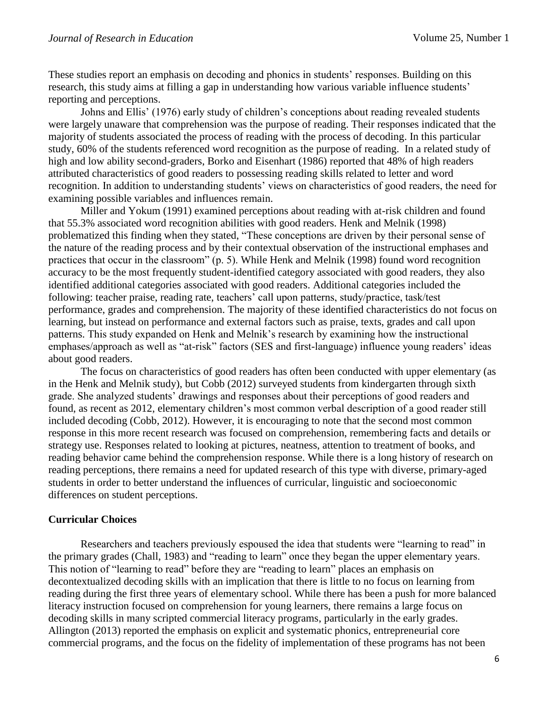These studies report an emphasis on decoding and phonics in students' responses. Building on this research, this study aims at filling a gap in understanding how various variable influence students' reporting and perceptions.

Johns and Ellis' (1976) early study of children's conceptions about reading revealed students were largely unaware that comprehension was the purpose of reading. Their responses indicated that the majority of students associated the process of reading with the process of decoding. In this particular study, 60% of the students referenced word recognition as the purpose of reading. In a related study of high and low ability second-graders, Borko and Eisenhart (1986) reported that 48% of high readers attributed characteristics of good readers to possessing reading skills related to letter and word recognition. In addition to understanding students' views on characteristics of good readers, the need for examining possible variables and influences remain.

Miller and Yokum (1991) examined perceptions about reading with at-risk children and found that 55.3% associated word recognition abilities with good readers. Henk and Melnik (1998) problematized this finding when they stated, "These conceptions are driven by their personal sense of the nature of the reading process and by their contextual observation of the instructional emphases and practices that occur in the classroom" (p. 5). While Henk and Melnik (1998) found word recognition accuracy to be the most frequently student-identified category associated with good readers, they also identified additional categories associated with good readers. Additional categories included the following: teacher praise, reading rate, teachers' call upon patterns, study/practice, task/test performance, grades and comprehension. The majority of these identified characteristics do not focus on learning, but instead on performance and external factors such as praise, texts, grades and call upon patterns. This study expanded on Henk and Melnik's research by examining how the instructional emphases/approach as well as "at-risk" factors (SES and first-language) influence young readers' ideas about good readers.

The focus on characteristics of good readers has often been conducted with upper elementary (as in the Henk and Melnik study), but Cobb (2012) surveyed students from kindergarten through sixth grade. She analyzed students' drawings and responses about their perceptions of good readers and found, as recent as 2012, elementary children's most common verbal description of a good reader still included decoding (Cobb, 2012). However, it is encouraging to note that the second most common response in this more recent research was focused on comprehension, remembering facts and details or strategy use. Responses related to looking at pictures, neatness, attention to treatment of books, and reading behavior came behind the comprehension response. While there is a long history of research on reading perceptions, there remains a need for updated research of this type with diverse, primary-aged students in order to better understand the influences of curricular, linguistic and socioeconomic differences on student perceptions.

## **Curricular Choices**

Researchers and teachers previously espoused the idea that students were "learning to read" in the primary grades (Chall, 1983) and "reading to learn" once they began the upper elementary years. This notion of "learning to read" before they are "reading to learn" places an emphasis on decontextualized decoding skills with an implication that there is little to no focus on learning from reading during the first three years of elementary school. While there has been a push for more balanced literacy instruction focused on comprehension for young learners, there remains a large focus on decoding skills in many scripted commercial literacy programs, particularly in the early grades. Allington (2013) reported the emphasis on explicit and systematic phonics, entrepreneurial core commercial programs, and the focus on the fidelity of implementation of these programs has not been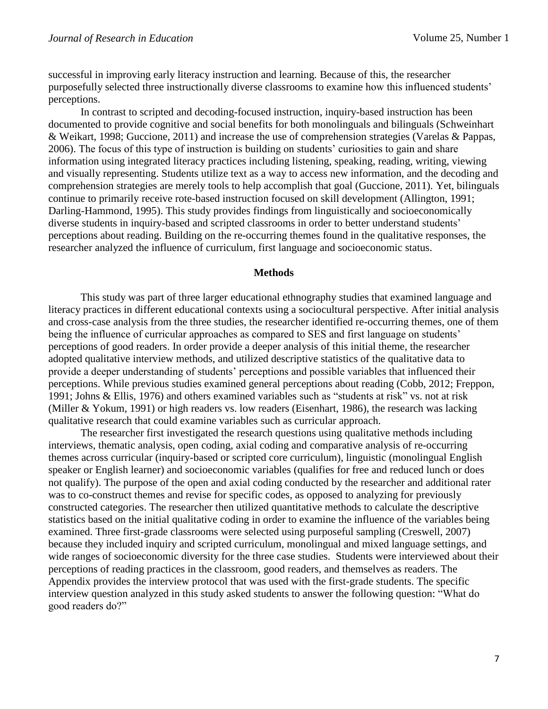successful in improving early literacy instruction and learning. Because of this, the researcher purposefully selected three instructionally diverse classrooms to examine how this influenced students' perceptions.

In contrast to scripted and decoding-focused instruction, inquiry-based instruction has been documented to provide cognitive and social benefits for both monolinguals and bilinguals (Schweinhart & Weikart, 1998; Guccione, 2011) and increase the use of comprehension strategies (Varelas & Pappas, 2006). The focus of this type of instruction is building on students' curiosities to gain and share information using integrated literacy practices including listening, speaking, reading, writing, viewing and visually representing. Students utilize text as a way to access new information, and the decoding and comprehension strategies are merely tools to help accomplish that goal (Guccione, 2011). Yet, bilinguals continue to primarily receive rote-based instruction focused on skill development (Allington, 1991; Darling-Hammond, 1995). This study provides findings from linguistically and socioeconomically diverse students in inquiry-based and scripted classrooms in order to better understand students' perceptions about reading. Building on the re-occurring themes found in the qualitative responses, the researcher analyzed the influence of curriculum, first language and socioeconomic status.

#### **Methods**

This study was part of three larger educational ethnography studies that examined language and literacy practices in different educational contexts using a sociocultural perspective. After initial analysis and cross-case analysis from the three studies, the researcher identified re-occurring themes, one of them being the influence of curricular approaches as compared to SES and first language on students' perceptions of good readers. In order provide a deeper analysis of this initial theme, the researcher adopted qualitative interview methods, and utilized descriptive statistics of the qualitative data to provide a deeper understanding of students' perceptions and possible variables that influenced their perceptions. While previous studies examined general perceptions about reading (Cobb, 2012; Freppon, 1991; Johns & Ellis, 1976) and others examined variables such as "students at risk" vs. not at risk (Miller & Yokum, 1991) or high readers vs. low readers (Eisenhart, 1986), the research was lacking qualitative research that could examine variables such as curricular approach.

The researcher first investigated the research questions using qualitative methods including interviews, thematic analysis, open coding, axial coding and comparative analysis of re-occurring themes across curricular (inquiry-based or scripted core curriculum), linguistic (monolingual English speaker or English learner) and socioeconomic variables (qualifies for free and reduced lunch or does not qualify). The purpose of the open and axial coding conducted by the researcher and additional rater was to co-construct themes and revise for specific codes, as opposed to analyzing for previously constructed categories. The researcher then utilized quantitative methods to calculate the descriptive statistics based on the initial qualitative coding in order to examine the influence of the variables being examined. Three first-grade classrooms were selected using purposeful sampling (Creswell, 2007) because they included inquiry and scripted curriculum, monolingual and mixed language settings, and wide ranges of socioeconomic diversity for the three case studies. Students were interviewed about their perceptions of reading practices in the classroom, good readers, and themselves as readers. The Appendix provides the interview protocol that was used with the first-grade students. The specific interview question analyzed in this study asked students to answer the following question: "What do good readers do?"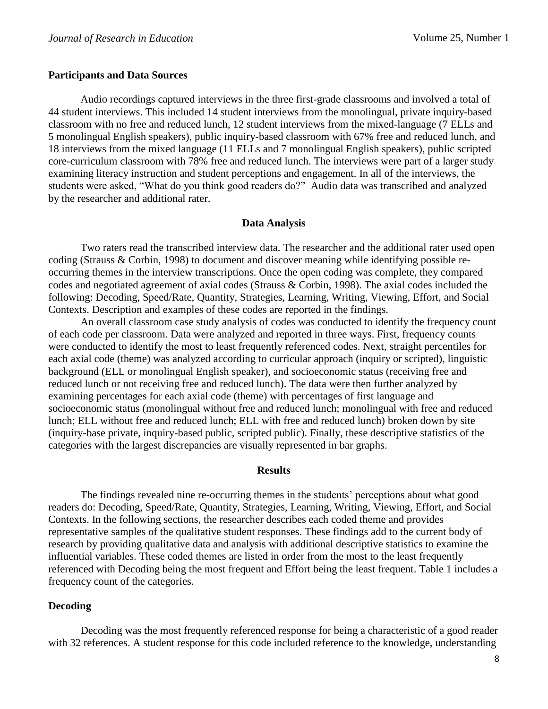#### **Participants and Data Sources**

Audio recordings captured interviews in the three first-grade classrooms and involved a total of 44 student interviews. This included 14 student interviews from the monolingual, private inquiry-based classroom with no free and reduced lunch, 12 student interviews from the mixed-language (7 ELLs and 5 monolingual English speakers), public inquiry-based classroom with 67% free and reduced lunch, and 18 interviews from the mixed language (11 ELLs and 7 monolingual English speakers), public scripted core-curriculum classroom with 78% free and reduced lunch. The interviews were part of a larger study examining literacy instruction and student perceptions and engagement. In all of the interviews, the students were asked, "What do you think good readers do?" Audio data was transcribed and analyzed by the researcher and additional rater.

#### **Data Analysis**

Two raters read the transcribed interview data. The researcher and the additional rater used open coding (Strauss & Corbin, 1998) to document and discover meaning while identifying possible reoccurring themes in the interview transcriptions. Once the open coding was complete, they compared codes and negotiated agreement of axial codes (Strauss & Corbin, 1998). The axial codes included the following: Decoding, Speed/Rate, Quantity, Strategies, Learning, Writing, Viewing, Effort, and Social Contexts. Description and examples of these codes are reported in the findings.

An overall classroom case study analysis of codes was conducted to identify the frequency count of each code per classroom. Data were analyzed and reported in three ways. First, frequency counts were conducted to identify the most to least frequently referenced codes. Next, straight percentiles for each axial code (theme) was analyzed according to curricular approach (inquiry or scripted), linguistic background (ELL or monolingual English speaker), and socioeconomic status (receiving free and reduced lunch or not receiving free and reduced lunch). The data were then further analyzed by examining percentages for each axial code (theme) with percentages of first language and socioeconomic status (monolingual without free and reduced lunch; monolingual with free and reduced lunch; ELL without free and reduced lunch; ELL with free and reduced lunch) broken down by site (inquiry-base private, inquiry-based public, scripted public). Finally, these descriptive statistics of the categories with the largest discrepancies are visually represented in bar graphs.

#### **Results**

The findings revealed nine re-occurring themes in the students' perceptions about what good readers do: Decoding, Speed/Rate, Quantity, Strategies, Learning, Writing, Viewing, Effort, and Social Contexts. In the following sections, the researcher describes each coded theme and provides representative samples of the qualitative student responses. These findings add to the current body of research by providing qualitative data and analysis with additional descriptive statistics to examine the influential variables. These coded themes are listed in order from the most to the least frequently referenced with Decoding being the most frequent and Effort being the least frequent. Table 1 includes a frequency count of the categories.

## **Decoding**

Decoding was the most frequently referenced response for being a characteristic of a good reader with 32 references. A student response for this code included reference to the knowledge, understanding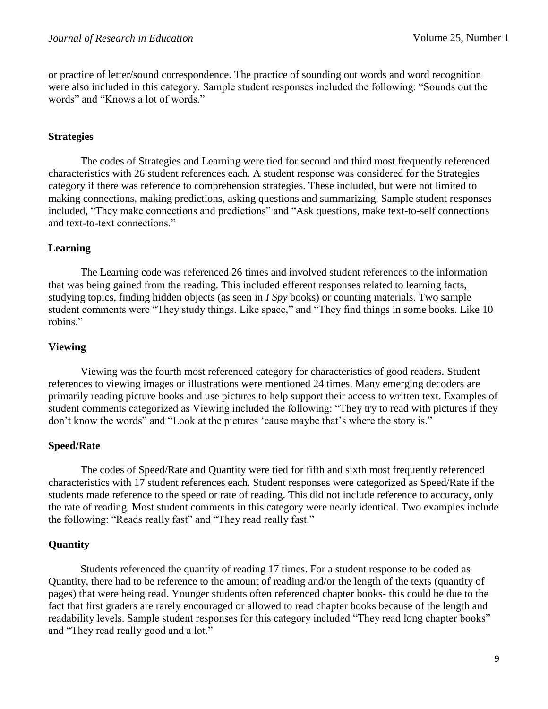or practice of letter/sound correspondence. The practice of sounding out words and word recognition were also included in this category. Sample student responses included the following: "Sounds out the words" and "Knows a lot of words."

## **Strategies**

The codes of Strategies and Learning were tied for second and third most frequently referenced characteristics with 26 student references each. A student response was considered for the Strategies category if there was reference to comprehension strategies. These included, but were not limited to making connections, making predictions, asking questions and summarizing. Sample student responses included, "They make connections and predictions" and "Ask questions, make text-to-self connections and text-to-text connections."

## **Learning**

The Learning code was referenced 26 times and involved student references to the information that was being gained from the reading. This included efferent responses related to learning facts, studying topics, finding hidden objects (as seen in *I Spy* books) or counting materials. Two sample student comments were "They study things. Like space," and "They find things in some books. Like 10 robins."

## **Viewing**

Viewing was the fourth most referenced category for characteristics of good readers. Student references to viewing images or illustrations were mentioned 24 times. Many emerging decoders are primarily reading picture books and use pictures to help support their access to written text. Examples of student comments categorized as Viewing included the following: "They try to read with pictures if they don't know the words" and "Look at the pictures 'cause maybe that's where the story is."

## **Speed/Rate**

The codes of Speed/Rate and Quantity were tied for fifth and sixth most frequently referenced characteristics with 17 student references each. Student responses were categorized as Speed/Rate if the students made reference to the speed or rate of reading. This did not include reference to accuracy, only the rate of reading. Most student comments in this category were nearly identical. Two examples include the following: "Reads really fast" and "They read really fast."

# **Quantity**

Students referenced the quantity of reading 17 times. For a student response to be coded as Quantity, there had to be reference to the amount of reading and/or the length of the texts (quantity of pages) that were being read. Younger students often referenced chapter books- this could be due to the fact that first graders are rarely encouraged or allowed to read chapter books because of the length and readability levels. Sample student responses for this category included "They read long chapter books" and "They read really good and a lot."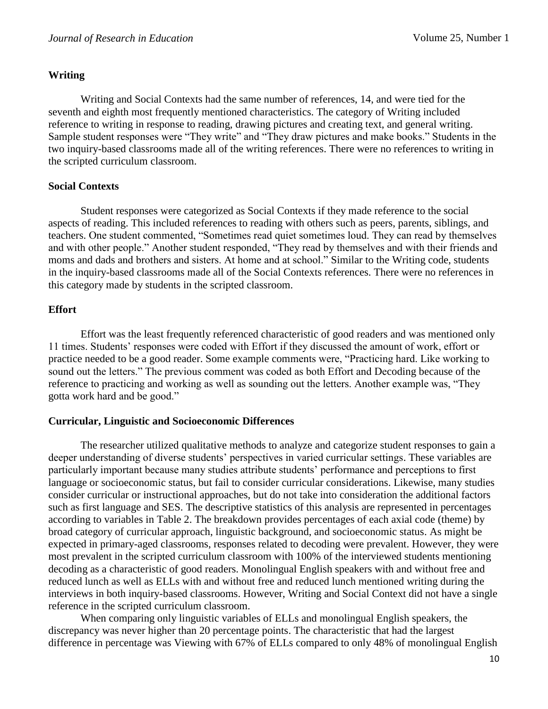# **Writing**

Writing and Social Contexts had the same number of references, 14, and were tied for the seventh and eighth most frequently mentioned characteristics. The category of Writing included reference to writing in response to reading, drawing pictures and creating text, and general writing. Sample student responses were "They write" and "They draw pictures and make books." Students in the two inquiry-based classrooms made all of the writing references. There were no references to writing in the scripted curriculum classroom.

# **Social Contexts**

Student responses were categorized as Social Contexts if they made reference to the social aspects of reading. This included references to reading with others such as peers, parents, siblings, and teachers. One student commented, "Sometimes read quiet sometimes loud. They can read by themselves and with other people." Another student responded, "They read by themselves and with their friends and moms and dads and brothers and sisters. At home and at school." Similar to the Writing code, students in the inquiry-based classrooms made all of the Social Contexts references. There were no references in this category made by students in the scripted classroom.

# **Effort**

Effort was the least frequently referenced characteristic of good readers and was mentioned only 11 times. Students' responses were coded with Effort if they discussed the amount of work, effort or practice needed to be a good reader. Some example comments were, "Practicing hard. Like working to sound out the letters." The previous comment was coded as both Effort and Decoding because of the reference to practicing and working as well as sounding out the letters. Another example was, "They gotta work hard and be good."

# **Curricular, Linguistic and Socioeconomic Differences**

The researcher utilized qualitative methods to analyze and categorize student responses to gain a deeper understanding of diverse students' perspectives in varied curricular settings. These variables are particularly important because many studies attribute students' performance and perceptions to first language or socioeconomic status, but fail to consider curricular considerations. Likewise, many studies consider curricular or instructional approaches, but do not take into consideration the additional factors such as first language and SES. The descriptive statistics of this analysis are represented in percentages according to variables in Table 2. The breakdown provides percentages of each axial code (theme) by broad category of curricular approach, linguistic background, and socioeconomic status. As might be expected in primary-aged classrooms, responses related to decoding were prevalent. However, they were most prevalent in the scripted curriculum classroom with 100% of the interviewed students mentioning decoding as a characteristic of good readers. Monolingual English speakers with and without free and reduced lunch as well as ELLs with and without free and reduced lunch mentioned writing during the interviews in both inquiry-based classrooms. However, Writing and Social Context did not have a single reference in the scripted curriculum classroom.

When comparing only linguistic variables of ELLs and monolingual English speakers, the discrepancy was never higher than 20 percentage points. The characteristic that had the largest difference in percentage was Viewing with 67% of ELLs compared to only 48% of monolingual English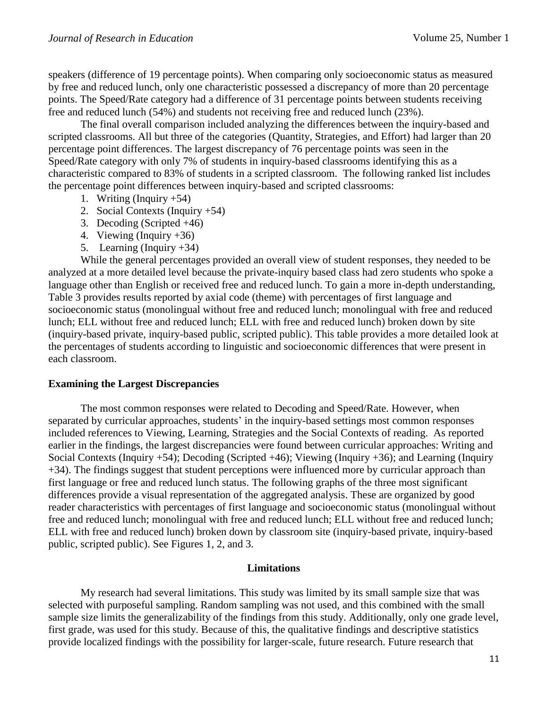speakers (difference of 19 percentage points). When comparing only socioeconomic status as measured by free and reduced lunch, only one characteristic possessed a discrepancy of more than 20 percentage points. The Speed/Rate category had a difference of 31 percentage points between students receiving free and reduced lunch (54%) and students not receiving free and reduced lunch (23%).

The final overall comparison included analyzing the differences between the inquiry-based and scripted classrooms. All but three of the categories (Quantity, Strategies, and Effort) had larger than 20 percentage point differences. The largest discrepancy of 76 percentage points was seen in the Speed/Rate category with only 7% of students in inquiry-based classrooms identifying this as a characteristic compared to 83% of students in a scripted classroom. The following ranked list includes the percentage point differences between inquiry-based and scripted classrooms:

- 1. Writing (Inquiry  $+54$ )
- 2. Social Contexts (Inquiry +54)
- 3. Decoding (Scripted +46)
- 4. Viewing (Inquiry +36)
- 5. Learning (Inquiry +34)

While the general percentages provided an overall view of student responses, they needed to be analyzed at a more detailed level because the private-inquiry based class had zero students who spoke a language other than English or received free and reduced lunch. To gain a more in-depth understanding, Table 3 provides results reported by axial code (theme) with percentages of first language and socioeconomic status (monolingual without free and reduced lunch; monolingual with free and reduced lunch; ELL without free and reduced lunch; ELL with free and reduced lunch) broken down by site (inquiry-based private, inquiry-based public, scripted public). This table provides a more detailed look at the percentages of students according to linguistic and socioeconomic differences that were present in each classroom.

## **Examining the Largest Discrepancies**

The most common responses were related to Decoding and Speed/Rate. However, when separated by curricular approaches, students' in the inquiry-based settings most common responses included references to Viewing, Learning, Strategies and the Social Contexts of reading. As reported earlier in the findings, the largest discrepancies were found between curricular approaches: Writing and Social Contexts (Inquiry +54); Decoding (Scripted +46); Viewing (Inquiry +36); and Learning (Inquiry +34). The findings suggest that student perceptions were influenced more by curricular approach than first language or free and reduced lunch status. The following graphs of the three most significant differences provide a visual representation of the aggregated analysis. These are organized by good reader characteristics with percentages of first language and socioeconomic status (monolingual without free and reduced lunch; monolingual with free and reduced lunch; ELL without free and reduced lunch; ELL with free and reduced lunch) broken down by classroom site (inquiry-based private, inquiry-based public, scripted public). See Figures 1, 2, and 3.

#### **Limitations**

My research had several limitations. This study was limited by its small sample size that was selected with purposeful sampling. Random sampling was not used, and this combined with the small sample size limits the generalizability of the findings from this study. Additionally, only one grade level, first grade, was used for this study. Because of this, the qualitative findings and descriptive statistics provide localized findings with the possibility for larger-scale, future research. Future research that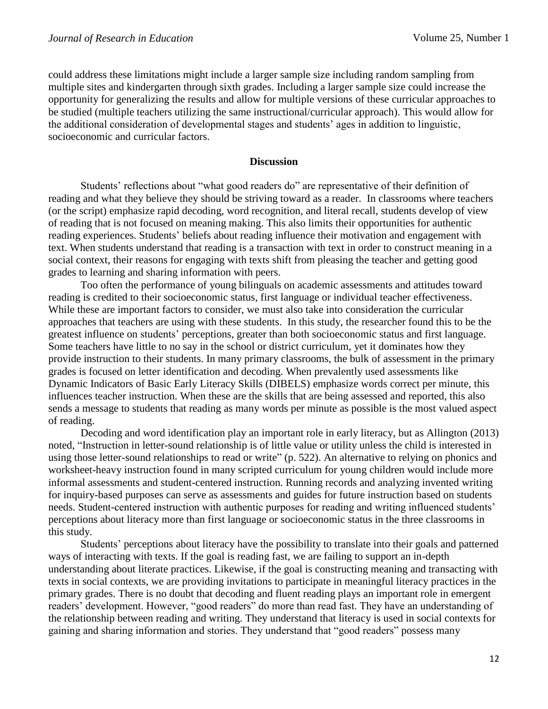could address these limitations might include a larger sample size including random sampling from multiple sites and kindergarten through sixth grades. Including a larger sample size could increase the opportunity for generalizing the results and allow for multiple versions of these curricular approaches to be studied (multiple teachers utilizing the same instructional/curricular approach). This would allow for the additional consideration of developmental stages and students' ages in addition to linguistic, socioeconomic and curricular factors.

#### **Discussion**

Students' reflections about "what good readers do" are representative of their definition of reading and what they believe they should be striving toward as a reader. In classrooms where teachers (or the script) emphasize rapid decoding, word recognition, and literal recall, students develop of view of reading that is not focused on meaning making. This also limits their opportunities for authentic reading experiences. Students' beliefs about reading influence their motivation and engagement with text. When students understand that reading is a transaction with text in order to construct meaning in a social context, their reasons for engaging with texts shift from pleasing the teacher and getting good grades to learning and sharing information with peers.

Too often the performance of young bilinguals on academic assessments and attitudes toward reading is credited to their socioeconomic status, first language or individual teacher effectiveness. While these are important factors to consider, we must also take into consideration the curricular approaches that teachers are using with these students. In this study, the researcher found this to be the greatest influence on students' perceptions, greater than both socioeconomic status and first language. Some teachers have little to no say in the school or district curriculum, yet it dominates how they provide instruction to their students. In many primary classrooms, the bulk of assessment in the primary grades is focused on letter identification and decoding. When prevalently used assessments like Dynamic Indicators of Basic Early Literacy Skills (DIBELS) emphasize words correct per minute, this influences teacher instruction. When these are the skills that are being assessed and reported, this also sends a message to students that reading as many words per minute as possible is the most valued aspect of reading.

Decoding and word identification play an important role in early literacy, but as Allington (2013) noted, "Instruction in letter-sound relationship is of little value or utility unless the child is interested in using those letter-sound relationships to read or write" (p. 522). An alternative to relying on phonics and worksheet-heavy instruction found in many scripted curriculum for young children would include more informal assessments and student-centered instruction. Running records and analyzing invented writing for inquiry-based purposes can serve as assessments and guides for future instruction based on students needs. Student-centered instruction with authentic purposes for reading and writing influenced students' perceptions about literacy more than first language or socioeconomic status in the three classrooms in this study.

Students' perceptions about literacy have the possibility to translate into their goals and patterned ways of interacting with texts. If the goal is reading fast, we are failing to support an in-depth understanding about literate practices. Likewise, if the goal is constructing meaning and transacting with texts in social contexts, we are providing invitations to participate in meaningful literacy practices in the primary grades. There is no doubt that decoding and fluent reading plays an important role in emergent readers' development. However, "good readers" do more than read fast. They have an understanding of the relationship between reading and writing. They understand that literacy is used in social contexts for gaining and sharing information and stories. They understand that "good readers" possess many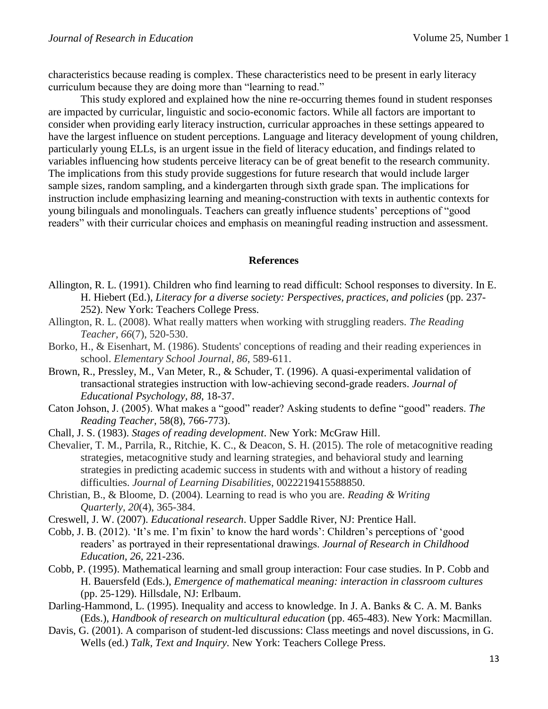characteristics because reading is complex. These characteristics need to be present in early literacy curriculum because they are doing more than "learning to read."

This study explored and explained how the nine re-occurring themes found in student responses are impacted by curricular, linguistic and socio-economic factors. While all factors are important to consider when providing early literacy instruction, curricular approaches in these settings appeared to have the largest influence on student perceptions. Language and literacy development of young children, particularly young ELLs, is an urgent issue in the field of literacy education, and findings related to variables influencing how students perceive literacy can be of great benefit to the research community. The implications from this study provide suggestions for future research that would include larger sample sizes, random sampling, and a kindergarten through sixth grade span. The implications for instruction include emphasizing learning and meaning-construction with texts in authentic contexts for young bilinguals and monolinguals. Teachers can greatly influence students' perceptions of "good readers" with their curricular choices and emphasis on meaningful reading instruction and assessment.

### **References**

- Allington, R. L. (1991). Children who find learning to read difficult: School responses to diversity. In E. H. Hiebert (Ed.), *Literacy for a diverse society: Perspectives, practices, and policies* (pp. 237- 252). New York: Teachers College Press.
- Allington, R. L. (2008). What really matters when working with struggling readers. *The Reading Teacher, 66*(7), 520-530.
- Borko, H., & Eisenhart, M. (1986). Students' conceptions of reading and their reading experiences in school. *Elementary School Journal, 86*, 589-611.
- Brown, R., Pressley, M., Van Meter, R., & Schuder, T. (1996). A quasi-experimental validation of transactional strategies instruction with low-achieving second-grade readers. *Journal of Educational Psychology, 88*, 18-37.
- Caton Johson, J. (2005). What makes a "good" reader? Asking students to define "good" readers. *The Reading Teacher,* 58(8), 766-773).
- Chall, J. S. (1983). *Stages of reading development*. New York: McGraw Hill.
- Chevalier, T. M., Parrila, R., Ritchie, K. C., & Deacon, S. H. (2015). The role of metacognitive reading strategies, metacognitive study and learning strategies, and behavioral study and learning strategies in predicting academic success in students with and without a history of reading difficulties. *Journal of Learning Disabilities*, 0022219415588850.
- Christian, B., & Bloome, D. (2004). Learning to read is who you are. *Reading & Writing Quarterly*, *20*(4), 365-384.
- Creswell, J. W. (2007). *Educational research*. Upper Saddle River, NJ: Prentice Hall.
- Cobb, J. B. (2012). 'It's me. I'm fixin' to know the hard words': Children's perceptions of 'good readers' as portrayed in their representational drawings. *Journal of Research in Childhood Education, 26,* 221-236.
- Cobb, P. (1995). Mathematical learning and small group interaction: Four case studies. In P. Cobb and H. Bauersfeld (Eds.), *Emergence of mathematical meaning: interaction in classroom cultures*  (pp. 25-129). Hillsdale, NJ: Erlbaum.
- Darling-Hammond, L. (1995). Inequality and access to knowledge. In J. A. Banks & C. A. M. Banks (Eds.), *Handbook of research on multicultural education* (pp. 465-483). New York: Macmillan.
- Davis, G. (2001). A comparison of student-led discussions: Class meetings and novel discussions, in G. Wells (ed.) *Talk, Text and Inquiry.* New York: Teachers College Press.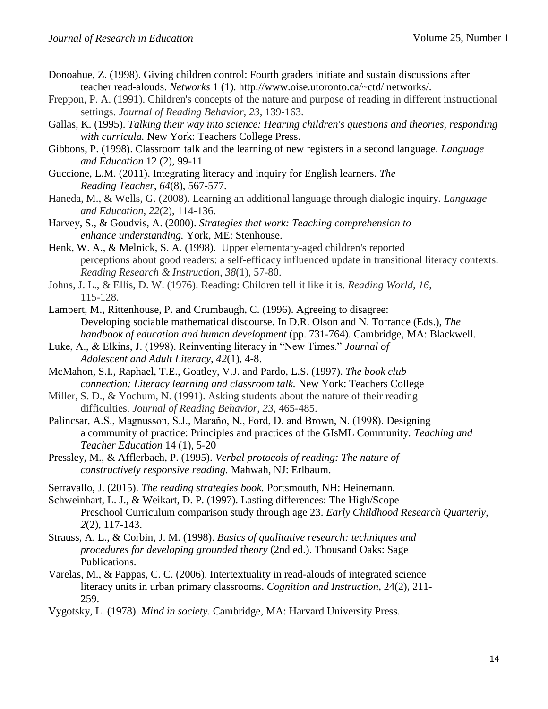- Donoahue, Z. (1998). Giving children control: Fourth graders initiate and sustain discussions after teacher read-alouds. *Networks* 1 (1). http://www.oise.utoronto.ca/~ctd/ networks/.
- Freppon, P. A. (1991). Children's concepts of the nature and purpose of reading in different instructional settings. *Journal of Reading Behavior, 23*, 139-163.
- Gallas, K. (1995). *Talking their way into science: Hearing children's questions and theories, responding with curricula.* New York: Teachers College Press.
- Gibbons, P. (1998). Classroom talk and the learning of new registers in a second language. *Language and Education* 12 (2), 99-11
- Guccione, L.M. (2011). Integrating literacy and inquiry for English learners. *The Reading Teacher*, *64*(8), 567-577.
- Haneda, M., & Wells, G. (2008). Learning an additional language through dialogic inquiry. *Language and Education*, *22*(2), 114-136.
- Harvey, S., & Goudvis, A. (2000). *Strategies that work: Teaching comprehension to enhance understanding.* York, ME: Stenhouse.
- Henk, W. A., & Melnick, S. A. (1998). Upper elementary-aged children's reported perceptions about good readers: a self-efficacy influenced update in transitional literacy contexts. *Reading Research & Instruction*, *38*(1), 57-80.
- Johns, J. L., & Ellis, D. W. (1976). Reading: Children tell it like it is. *Reading World, 16*, 115-128.
- Lampert, M., Rittenhouse, P. and Crumbaugh, C. (1996). Agreeing to disagree: Developing sociable mathematical discourse. In D.R. Olson and N. Torrance (Eds.), *The handbook of education and human development* (pp. 731-764). Cambridge, MA: Blackwell.
- Luke, A., & Elkins, J. (1998). Reinventing literacy in "New Times." *Journal of Adolescent and Adult Literacy, 42*(1), 4-8.
- McMahon, S.I., Raphael, T.E., Goatley, V.J. and Pardo, L.S. (1997). *The book club connection: Literacy learning and classroom talk.* New York: Teachers College
- Miller, S. D., & Yochum, N. (1991). Asking students about the nature of their reading difficulties. *Journal of Reading Behavior, 23*, 465-485.
- Palincsar, A.S., Magnusson, S.J., Maraño, N., Ford, D. and Brown, N. (1998). Designing a community of practice: Principles and practices of the GIsML Community. *Teaching and Teacher Education* 14 (1), 5-20
- Pressley, M., & Afflerbach, P. (1995). *Verbal protocols of reading: The nature of constructively responsive reading.* Mahwah, NJ: Erlbaum.
- Serravallo, J. (2015). *The reading strategies book.* Portsmouth, NH: Heinemann.

Schweinhart, L. J., & Weikart, D. P. (1997). Lasting differences: The High/Scope Preschool Curriculum comparison study through age 23. *Early Childhood Research Quarterly, 2*(2), 117-143.

- Strauss, A. L., & Corbin, J. M. (1998). *Basics of qualitative research: techniques and procedures for developing grounded theory* (2nd ed.). Thousand Oaks: Sage Publications.
- Varelas, M., & Pappas, C. C. (2006). Intertextuality in read-alouds of integrated science literacy units in urban primary classrooms. *Cognition and Instruction*, 24(2), 211- 259.
- Vygotsky, L. (1978). *Mind in society*. Cambridge, MA: Harvard University Press.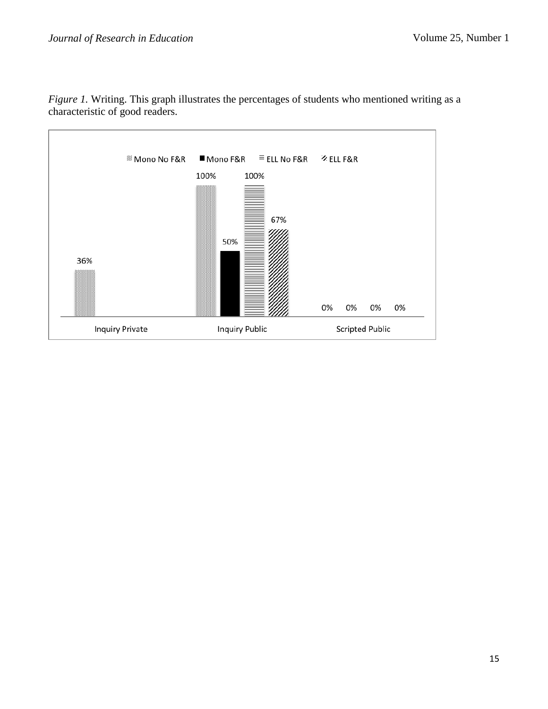

*Figure 1*. Writing. This graph illustrates the percentages of students who mentioned writing as a characteristic of good readers.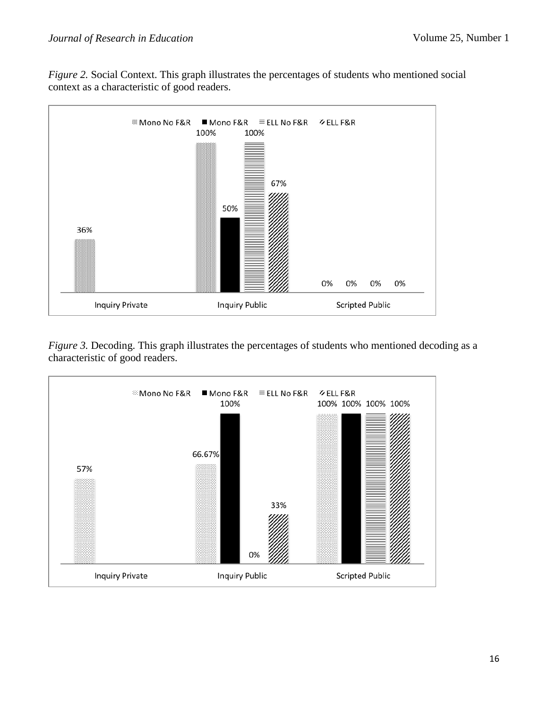*Figure 2.* Social Context. This graph illustrates the percentages of students who mentioned social context as a characteristic of good readers.



*Figure 3.* Decoding. This graph illustrates the percentages of students who mentioned decoding as a characteristic of good readers.

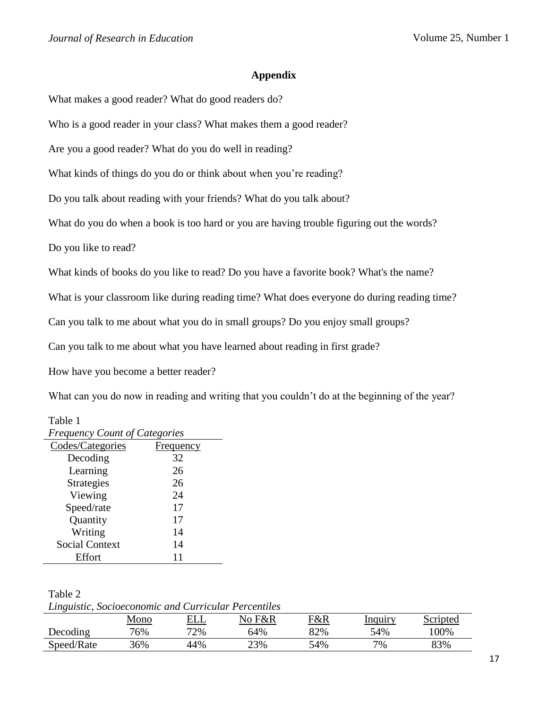## **Appendix**

What makes a good reader? What do good readers do?

Who is a good reader in your class? What makes them a good reader?

Are you a good reader? What do you do well in reading?

What kinds of things do you do or think about when you're reading?

Do you talk about reading with your friends? What do you talk about?

What do you do when a book is too hard or you are having trouble figuring out the words?

Do you like to read?

What kinds of books do you like to read? Do you have a favorite book? What's the name?

What is your classroom like during reading time? What does everyone do during reading time?

Can you talk to me about what you do in small groups? Do you enjoy small groups?

Can you talk to me about what you have learned about reading in first grade?

How have you become a better reader?

What can you do now in reading and writing that you couldn't do at the beginning of the year?

| <b>Frequency Count of Categories</b> |           |  |  |  |  |
|--------------------------------------|-----------|--|--|--|--|
| Codes/Categories                     | Frequency |  |  |  |  |
| Decoding                             | 32        |  |  |  |  |
| Learning                             | 26        |  |  |  |  |
| <b>Strategies</b>                    | 26        |  |  |  |  |
| Viewing                              | 24        |  |  |  |  |
| Speed/rate                           | 17        |  |  |  |  |
| Quantity                             | 17        |  |  |  |  |
| Writing                              | 14        |  |  |  |  |
| <b>Social Context</b>                | 14        |  |  |  |  |
| Effort                               |           |  |  |  |  |

Table 1

Table 2

*Linguistic, Socioeconomic and Curricular Percentiles*

|            | <u>Mono</u> | <u>ELL</u> | No F&R | <u>F&amp;R</u> | <b>Inquiry</b> | Scripted |
|------------|-------------|------------|--------|----------------|----------------|----------|
| Decoding   | 76%         | 72%        | 64%    | 82%            | 54%            | .00%     |
| Speed/Rate | 36%         | 44%        | 23%    | 54%            | 7%             | 83%      |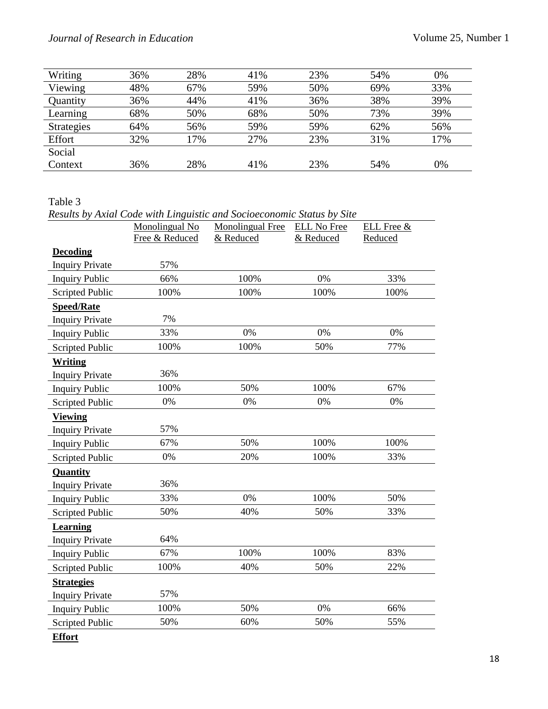# *Journal of Research in Education*

| Writing           | 36% | 28% | 41% | 23% | 54% | 0%  |
|-------------------|-----|-----|-----|-----|-----|-----|
| Viewing           | 48% | 67% | 59% | 50% | 69% | 33% |
| Quantity          | 36% | 44% | 41% | 36% | 38% | 39% |
| Learning          | 68% | 50% | 68% | 50% | 73% | 39% |
| <b>Strategies</b> | 64% | 56% | 59% | 59% | 62% | 56% |
| Effort            | 32% | 17% | 27% | 23% | 31% | 17% |
| Social            |     |     |     |     |     |     |
| Context           | 36% | 28% | 41% | 23% | 54% | 0%  |
|                   |     |     |     |     |     |     |

### Table 3

|                        |                | Results by Axial Code with Linguistic and Socioeconomic Status by Site |                    |            |
|------------------------|----------------|------------------------------------------------------------------------|--------------------|------------|
|                        | Monolingual No | Monolingual Free                                                       | <b>ELL No Free</b> | ELL Free & |
|                        | Free & Reduced | & Reduced                                                              | & Reduced          | Reduced    |
| <b>Decoding</b>        |                |                                                                        |                    |            |
| <b>Inquiry Private</b> | 57%            |                                                                        |                    |            |
| <b>Inquiry Public</b>  | 66%            | 100%                                                                   | 0%                 | 33%        |
| Scripted Public        | 100%           | 100%                                                                   | 100%               | 100%       |
| <b>Speed/Rate</b>      |                |                                                                        |                    |            |
| <b>Inquiry Private</b> | 7%             |                                                                        |                    |            |
| <b>Inquiry Public</b>  | 33%            | 0%                                                                     | 0%                 | 0%         |
| Scripted Public        | 100%           | 100%                                                                   | 50%                | 77%        |
| Writing                |                |                                                                        |                    |            |
| <b>Inquiry Private</b> | 36%            |                                                                        |                    |            |
| <b>Inquiry Public</b>  | 100%           | 50%                                                                    | 100%               | 67%        |
| <b>Scripted Public</b> | 0%             | 0%                                                                     | 0%                 | 0%         |
| <b>Viewing</b>         |                |                                                                        |                    |            |
| <b>Inquiry Private</b> | 57%            |                                                                        |                    |            |
| <b>Inquiry Public</b>  | 67%            | 50%                                                                    | 100%               | 100%       |
| Scripted Public        | 0%             | 20%                                                                    | 100%               | 33%        |
| Quantity               |                |                                                                        |                    |            |
| <b>Inquiry Private</b> | 36%            |                                                                        |                    |            |
| <b>Inquiry Public</b>  | 33%            | 0%                                                                     | 100%               | 50%        |
| <b>Scripted Public</b> | 50%            | 40%                                                                    | 50%                | 33%        |
| <b>Learning</b>        |                |                                                                        |                    |            |
| <b>Inquiry Private</b> | 64%            |                                                                        |                    |            |
| <b>Inquiry Public</b>  | 67%            | 100%                                                                   | 100%               | 83%        |
| Scripted Public        | 100%           | 40%                                                                    | 50%                | 22%        |
| <b>Strategies</b>      |                |                                                                        |                    |            |
| <b>Inquiry Private</b> | 57%            |                                                                        |                    |            |
| <b>Inquiry Public</b>  | 100%           | 50%                                                                    | 0%                 | 66%        |
| <b>Scripted Public</b> | 50%            | 60%                                                                    | 50%                | 55%        |
| <b>Effort</b>          |                |                                                                        |                    |            |